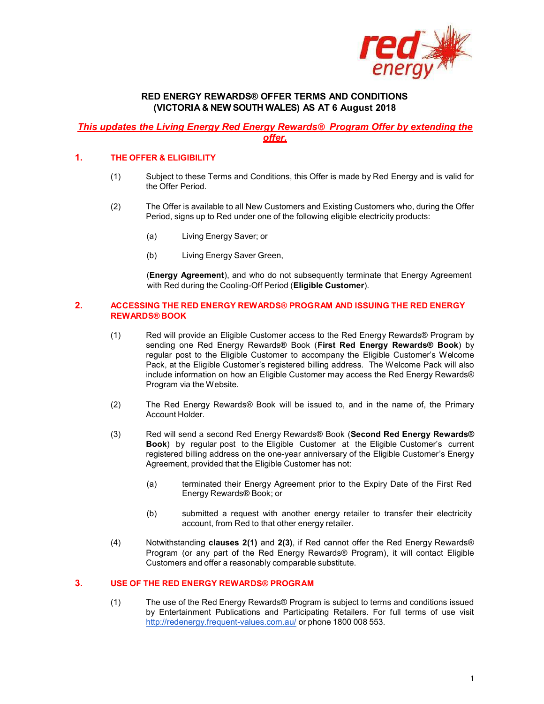

## RED ENERGY REWARDS® OFFER TERMS AND CONDITIONS (VICTORIA & NEW SOUTH WALES) AS AT 6 August 2018

# This updates the Living Energy Red Energy Rewards® Program Offer by extending the offer,

#### 1. THE OFFER & ELIGIBILITY

- (1) Subject to these Terms and Conditions, this Offer is made by Red Energy and is valid for the Offer Period.
- (2) The Offer is available to all New Customers and Existing Customers who, during the Offer Period, signs up to Red under one of the following eligible electricity products:
	- (a) Living Energy Saver; or
	- (b) Living Energy Saver Green,

(Energy Agreement), and who do not subsequently terminate that Energy Agreement with Red during the Cooling-Off Period (Eligible Customer).

#### 2. ACCESSING THE RED ENERGY REWARDS® PROGRAM AND ISSUING THE RED ENERGY REWARDS® BOOK

- (1) Red will provide an Eligible Customer access to the Red Energy Rewards® Program by sending one Red Energy Rewards® Book (First Red Energy Rewards® Book) by regular post to the Eligible Customer to accompany the Eligible Customer's Welcome Pack, at the Eligible Customer's registered billing address. The Welcome Pack will also include information on how an Eligible Customer may access the Red Energy Rewards® Program via the Website.
- (2) The Red Energy Rewards® Book will be issued to, and in the name of, the Primary Account Holder.
- (3) Red will send a second Red Energy Rewards® Book (Second Red Energy Rewards® Book) by regular post to the Eligible Customer at the Eligible Customer's current registered billing address on the one-year anniversary of the Eligible Customer's Energy Agreement, provided that the Eligible Customer has not:
	- (a) terminated their Energy Agreement prior to the Expiry Date of the First Red Energy Rewards® Book; or
	- (b) submitted a request with another energy retailer to transfer their electricity account, from Red to that other energy retailer.
- (4) Notwithstanding clauses 2(1) and 2(3), if Red cannot offer the Red Energy Rewards® Program (or any part of the Red Energy Rewards® Program), it will contact Eligible Customers and offer a reasonably comparable substitute.

## 3. USE OF THE RED ENERGY REWARDS® PROGRAM

(1) The use of the Red Energy Rewards® Program is subject to terms and conditions issued by Entertainment Publications and Participating Retailers. For full terms of use visit http://redenergy.frequent-values.com.au/ or phone 1800 008 553.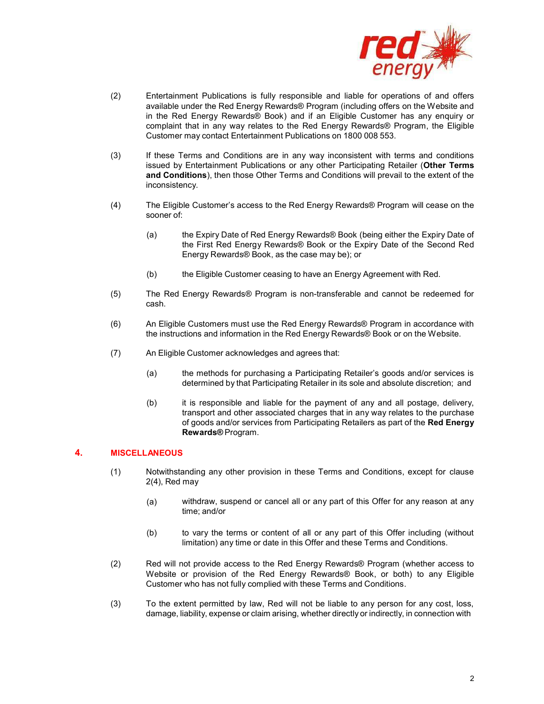

- (2) Entertainment Publications is fully responsible and liable for operations of and offers available under the Red Energy Rewards® Program (including offers on the Website and in the Red Energy Rewards® Book) and if an Eligible Customer has any enquiry or complaint that in any way relates to the Red Energy Rewards® Program, the Eligible Customer may contact Entertainment Publications on 1800 008 553.
- (3) If these Terms and Conditions are in any way inconsistent with terms and conditions issued by Entertainment Publications or any other Participating Retailer (Other Terms and Conditions), then those Other Terms and Conditions will prevail to the extent of the inconsistency.
- (4) The Eligible Customer's access to the Red Energy Rewards® Program will cease on the sooner of:
	- (a) the Expiry Date of Red Energy Rewards® Book (being either the Expiry Date of the First Red Energy Rewards® Book or the Expiry Date of the Second Red Energy Rewards® Book, as the case may be); or
	- (b) the Eligible Customer ceasing to have an Energy Agreement with Red.
- (5) The Red Energy Rewards® Program is non-transferable and cannot be redeemed for cash.
- (6) An Eligible Customers must use the Red Energy Rewards® Program in accordance with the instructions and information in the Red Energy Rewards® Book or on the Website.
- (7) An Eligible Customer acknowledges and agrees that:
	- (a) the methods for purchasing a Participating Retailer's goods and/or services is determined by that Participating Retailer in its sole and absolute discretion; and
	- (b) it is responsible and liable for the payment of any and all postage, delivery, transport and other associated charges that in any way relates to the purchase of goods and/or services from Participating Retailers as part of the Red Energy Rewards® Program.

### 4. MISCELLANEOUS

- (1) Notwithstanding any other provision in these Terms and Conditions, except for clause 2(4), Red may
	- (a) withdraw, suspend or cancel all or any part of this Offer for any reason at any time; and/or
	- (b) to vary the terms or content of all or any part of this Offer including (without limitation) any time or date in this Offer and these Terms and Conditions.
- (2) Red will not provide access to the Red Energy Rewards® Program (whether access to Website or provision of the Red Energy Rewards® Book, or both) to any Eligible Customer who has not fully complied with these Terms and Conditions.
- (3) To the extent permitted by law, Red will not be liable to any person for any cost, loss, damage, liability, expense or claim arising, whether directly or indirectly, in connection with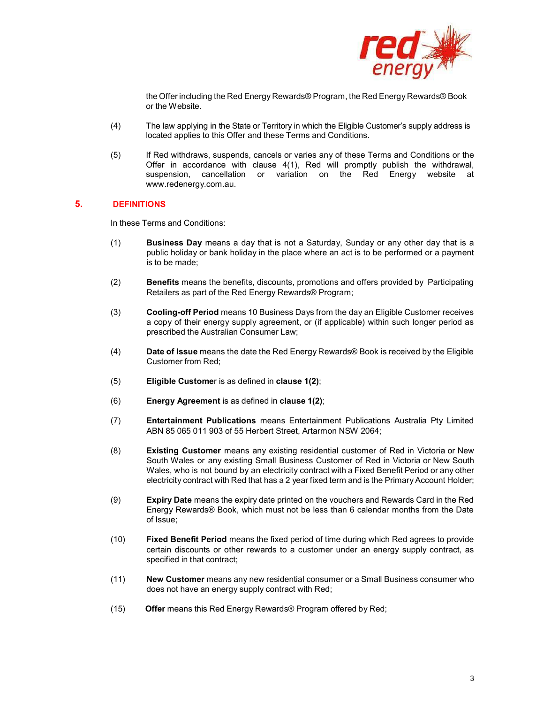

the Offer including the Red Energy Rewards® Program, the Red Energy Rewards® Book or the Website.

- (4) The law applying in the State or Territory in which the Eligible Customer's supply address is located applies to this Offer and these Terms and Conditions.
- (5) If Red withdraws, suspends, cancels or varies any of these Terms and Conditions or the Offer in accordance with clause 4(1), Red will promptly publish the withdrawal, suspension, cancellation or variation on the Red Energy website at www.redenergy.com.au.

#### 5. DEFINITIONS

In these Terms and Conditions:

- (1) Business Day means a day that is not a Saturday, Sunday or any other day that is a public holiday or bank holiday in the place where an act is to be performed or a payment is to be made;
- (2) Benefits means the benefits, discounts, promotions and offers provided by Participating Retailers as part of the Red Energy Rewards® Program;
- (3) Cooling-off Period means 10 Business Days from the day an Eligible Customer receives a copy of their energy supply agreement, or (if applicable) within such longer period as prescribed the Australian Consumer Law;
- (4) Date of Issue means the date the Red Energy Rewards® Book is received by the Eligible Customer from Red;
- (5) Eligible Customer is as defined in clause 1(2);
- (6) Energy Agreement is as defined in clause 1(2);
- (7) Entertainment Publications means Entertainment Publications Australia Pty Limited ABN 85 065 011 903 of 55 Herbert Street, Artarmon NSW 2064;
- (8) Existing Customer means any existing residential customer of Red in Victoria or New South Wales or any existing Small Business Customer of Red in Victoria or New South Wales, who is not bound by an electricity contract with a Fixed Benefit Period or any other electricity contract with Red that has a 2 year fixed term and is the Primary Account Holder;
- (9) Expiry Date means the expiry date printed on the vouchers and Rewards Card in the Red Energy Rewards® Book, which must not be less than 6 calendar months from the Date of Issue;
- (10) Fixed Benefit Period means the fixed period of time during which Red agrees to provide certain discounts or other rewards to a customer under an energy supply contract, as specified in that contract;
- (11) New Customer means any new residential consumer or a Small Business consumer who does not have an energy supply contract with Red;
- (15) Offer means this Red Energy Rewards® Program offered by Red;